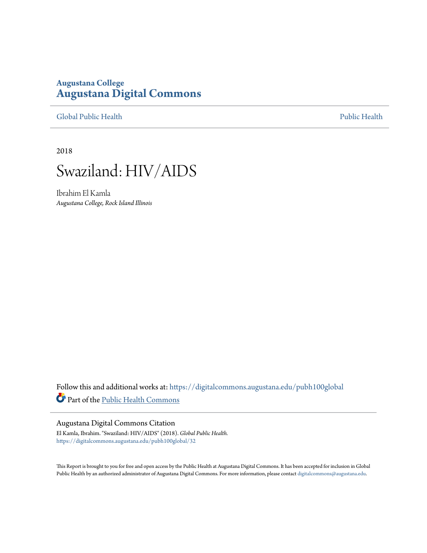# **Augustana College [Augustana Digital Commons](https://digitalcommons.augustana.edu?utm_source=digitalcommons.augustana.edu%2Fpubh100global%2F32&utm_medium=PDF&utm_campaign=PDFCoverPages)**

[Global Public Health](https://digitalcommons.augustana.edu/pubh100global?utm_source=digitalcommons.augustana.edu%2Fpubh100global%2F32&utm_medium=PDF&utm_campaign=PDFCoverPages) [Public Health](https://digitalcommons.augustana.edu/publichealth?utm_source=digitalcommons.augustana.edu%2Fpubh100global%2F32&utm_medium=PDF&utm_campaign=PDFCoverPages)

2018



Ibrahim El Kamla *Augustana College, Rock Island Illinois*

Follow this and additional works at: [https://digitalcommons.augustana.edu/pubh100global](https://digitalcommons.augustana.edu/pubh100global?utm_source=digitalcommons.augustana.edu%2Fpubh100global%2F32&utm_medium=PDF&utm_campaign=PDFCoverPages) Part of the [Public Health Commons](http://network.bepress.com/hgg/discipline/738?utm_source=digitalcommons.augustana.edu%2Fpubh100global%2F32&utm_medium=PDF&utm_campaign=PDFCoverPages)

#### Augustana Digital Commons Citation

El Kamla, Ibrahim. "Swaziland: HIV/AIDS" (2018). *Global Public Health.* [https://digitalcommons.augustana.edu/pubh100global/32](https://digitalcommons.augustana.edu/pubh100global/32?utm_source=digitalcommons.augustana.edu%2Fpubh100global%2F32&utm_medium=PDF&utm_campaign=PDFCoverPages)

This Report is brought to you for free and open access by the Public Health at Augustana Digital Commons. It has been accepted for inclusion in Global Public Health by an authorized administrator of Augustana Digital Commons. For more information, please contact [digitalcommons@augustana.edu.](mailto:digitalcommons@augustana.edu)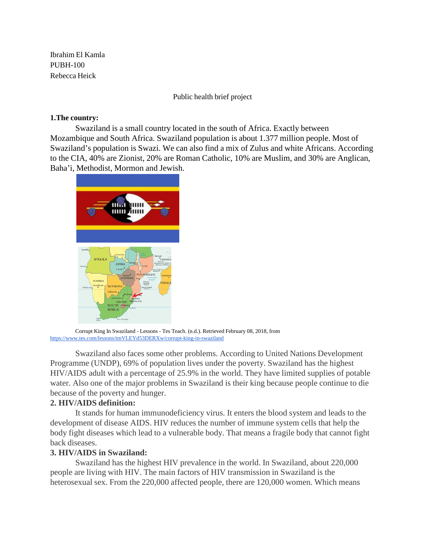Ibrahim El Kamla PUBH-100 Rebecca Heick

Public health brief project

#### **1.The country:**

Swaziland is a small country located in the south of Africa. Exactly between Mozambique and South Africa. Swaziland population is about 1.377 million people. Most of Swaziland's population is Swazi. We can also find a mix of Zulus and white Africans. According to the CIA, 40% are Zionist, 20% are Roman Catholic, 10% are Muslim, and 30% are Anglican, Baha'i, Methodist, Mormon and Jewish.



Corrupt King In Swaziland - Lessons - Tes Teach. (n.d.). Retrieved February 08, 2018, from <https://www.tes.com/lessons/tmVLEYd53DERXw/corrupt-king-in-swaziland>

Swaziland also faces some other problems. According to United Nations Development Programme (UNDP), 69% of population lives under the poverty. Swaziland has the highest HIV/AIDS adult with a percentage of 25.9% in the world. They have limited supplies of potable water. Also one of the major problems in Swaziland is their king because people continue to die because of the poverty and hunger.

### **2. HIV/AIDS definition:**

It stands for human immunodeficiency virus. It enters the blood system and leads to the development of disease AIDS. HIV reduces the number of immune system cells that help the body fight diseases which lead to a vulnerable body. That means a fragile body that cannot fight back diseases.

### **3. HIV/AIDS in Swaziland:**

Swaziland has the highest HIV prevalence in the world. In Swaziland, about 220,000 people are living with HIV. The main factors of HIV transmission in Swaziland is the heterosexual sex. From the 220,000 affected people, there are 120,000 women. Which means